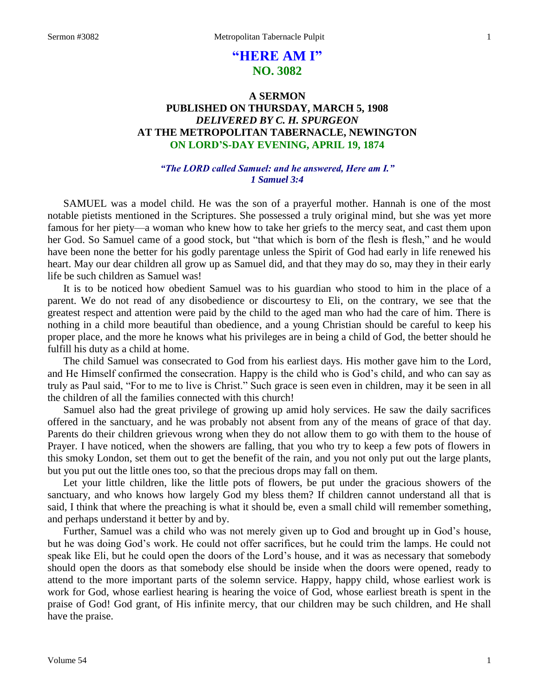# **"HERE AM I" NO. 3082**

## **A SERMON PUBLISHED ON THURSDAY, MARCH 5, 1908** *DELIVERED BY C. H. SPURGEON* **AT THE METROPOLITAN TABERNACLE, NEWINGTON ON LORD'S-DAY EVENING, APRIL 19, 1874**

### *"The LORD called Samuel: and he answered, Here am I." 1 Samuel 3:4*

SAMUEL was a model child. He was the son of a prayerful mother. Hannah is one of the most notable pietists mentioned in the Scriptures. She possessed a truly original mind, but she was yet more famous for her piety—a woman who knew how to take her griefs to the mercy seat, and cast them upon her God. So Samuel came of a good stock, but "that which is born of the flesh is flesh," and he would have been none the better for his godly parentage unless the Spirit of God had early in life renewed his heart. May our dear children all grow up as Samuel did, and that they may do so, may they in their early life be such children as Samuel was!

It is to be noticed how obedient Samuel was to his guardian who stood to him in the place of a parent. We do not read of any disobedience or discourtesy to Eli, on the contrary, we see that the greatest respect and attention were paid by the child to the aged man who had the care of him. There is nothing in a child more beautiful than obedience, and a young Christian should be careful to keep his proper place, and the more he knows what his privileges are in being a child of God, the better should he fulfill his duty as a child at home.

The child Samuel was consecrated to God from his earliest days. His mother gave him to the Lord, and He Himself confirmed the consecration. Happy is the child who is God's child, and who can say as truly as Paul said, "For to me to live is Christ." Such grace is seen even in children, may it be seen in all the children of all the families connected with this church!

Samuel also had the great privilege of growing up amid holy services. He saw the daily sacrifices offered in the sanctuary, and he was probably not absent from any of the means of grace of that day. Parents do their children grievous wrong when they do not allow them to go with them to the house of Prayer. I have noticed, when the showers are falling, that you who try to keep a few pots of flowers in this smoky London, set them out to get the benefit of the rain, and you not only put out the large plants, but you put out the little ones too, so that the precious drops may fall on them.

Let your little children, like the little pots of flowers, be put under the gracious showers of the sanctuary, and who knows how largely God my bless them? If children cannot understand all that is said, I think that where the preaching is what it should be, even a small child will remember something, and perhaps understand it better by and by.

Further, Samuel was a child who was not merely given up to God and brought up in God's house, but he was doing God's work. He could not offer sacrifices, but he could trim the lamps. He could not speak like Eli, but he could open the doors of the Lord's house, and it was as necessary that somebody should open the doors as that somebody else should be inside when the doors were opened, ready to attend to the more important parts of the solemn service. Happy, happy child, whose earliest work is work for God, whose earliest hearing is hearing the voice of God, whose earliest breath is spent in the praise of God! God grant, of His infinite mercy, that our children may be such children, and He shall have the praise.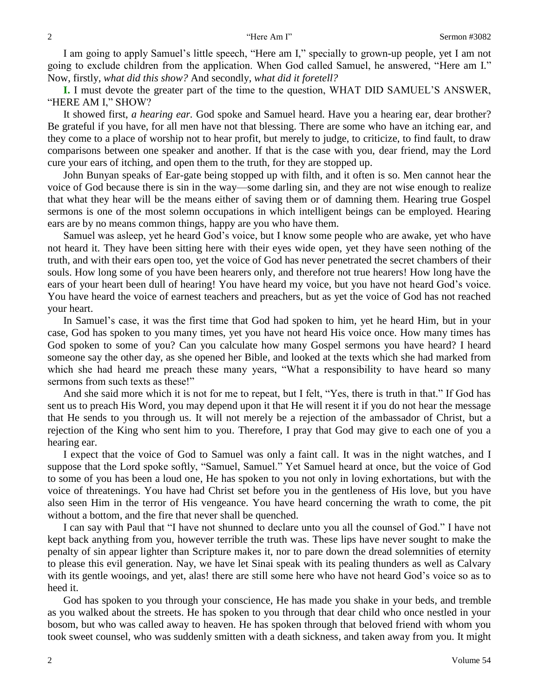I am going to apply Samuel's little speech, "Here am I," specially to grown-up people, yet I am not going to exclude children from the application. When God called Samuel, he answered, "Here am I." Now, firstly, *what did this show?* And secondly, *what did it foretell?* 

**I.** I must devote the greater part of the time to the question, WHAT DID SAMUEL'S ANSWER, "HERE AM I," SHOW?

It showed first, *a hearing ear.* God spoke and Samuel heard. Have you a hearing ear, dear brother? Be grateful if you have, for all men have not that blessing. There are some who have an itching ear, and they come to a place of worship not to hear profit, but merely to judge, to criticize, to find fault, to draw comparisons between one speaker and another. If that is the case with you, dear friend, may the Lord cure your ears of itching, and open them to the truth, for they are stopped up.

John Bunyan speaks of Ear-gate being stopped up with filth, and it often is so. Men cannot hear the voice of God because there is sin in the way—some darling sin, and they are not wise enough to realize that what they hear will be the means either of saving them or of damning them. Hearing true Gospel sermons is one of the most solemn occupations in which intelligent beings can be employed. Hearing ears are by no means common things, happy are you who have them.

Samuel was asleep, yet he heard God's voice, but I know some people who are awake, yet who have not heard it. They have been sitting here with their eyes wide open, yet they have seen nothing of the truth, and with their ears open too, yet the voice of God has never penetrated the secret chambers of their souls. How long some of you have been hearers only, and therefore not true hearers! How long have the ears of your heart been dull of hearing! You have heard my voice, but you have not heard God's voice. You have heard the voice of earnest teachers and preachers, but as yet the voice of God has not reached your heart.

In Samuel's case, it was the first time that God had spoken to him, yet he heard Him, but in your case, God has spoken to you many times, yet you have not heard His voice once. How many times has God spoken to some of you? Can you calculate how many Gospel sermons you have heard? I heard someone say the other day, as she opened her Bible, and looked at the texts which she had marked from which she had heard me preach these many years, "What a responsibility to have heard so many sermons from such texts as these!"

And she said more which it is not for me to repeat, but I felt, "Yes, there is truth in that." If God has sent us to preach His Word, you may depend upon it that He will resent it if you do not hear the message that He sends to you through us. It will not merely be a rejection of the ambassador of Christ, but a rejection of the King who sent him to you. Therefore, I pray that God may give to each one of you a hearing ear.

I expect that the voice of God to Samuel was only a faint call. It was in the night watches, and I suppose that the Lord spoke softly, "Samuel, Samuel." Yet Samuel heard at once, but the voice of God to some of you has been a loud one, He has spoken to you not only in loving exhortations, but with the voice of threatenings. You have had Christ set before you in the gentleness of His love, but you have also seen Him in the terror of His vengeance. You have heard concerning the wrath to come, the pit without a bottom, and the fire that never shall be quenched.

I can say with Paul that "I have not shunned to declare unto you all the counsel of God." I have not kept back anything from you, however terrible the truth was. These lips have never sought to make the penalty of sin appear lighter than Scripture makes it, nor to pare down the dread solemnities of eternity to please this evil generation. Nay, we have let Sinai speak with its pealing thunders as well as Calvary with its gentle wooings, and yet, alas! there are still some here who have not heard God's voice so as to heed it.

God has spoken to you through your conscience, He has made you shake in your beds, and tremble as you walked about the streets. He has spoken to you through that dear child who once nestled in your bosom, but who was called away to heaven. He has spoken through that beloved friend with whom you took sweet counsel, who was suddenly smitten with a death sickness, and taken away from you. It might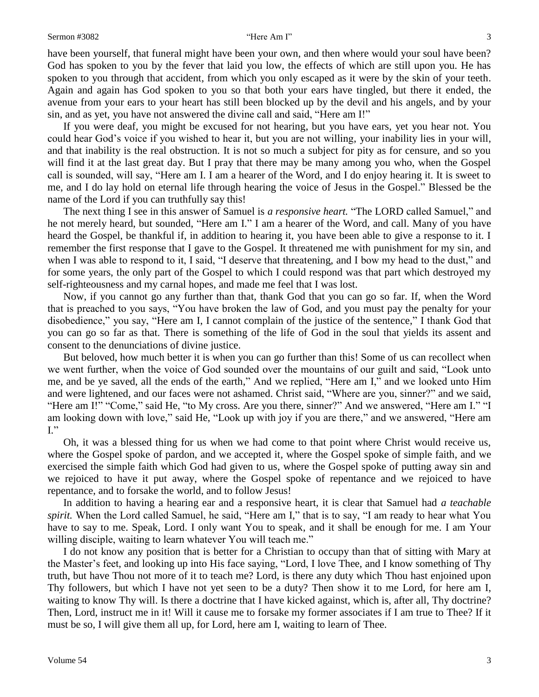have been yourself, that funeral might have been your own, and then where would your soul have been? God has spoken to you by the fever that laid you low, the effects of which are still upon you. He has spoken to you through that accident, from which you only escaped as it were by the skin of your teeth. Again and again has God spoken to you so that both your ears have tingled, but there it ended, the avenue from your ears to your heart has still been blocked up by the devil and his angels, and by your sin, and as yet, you have not answered the divine call and said, "Here am I!"

If you were deaf, you might be excused for not hearing, but you have ears, yet you hear not. You could hear God's voice if you wished to hear it, but you are not willing, your inability lies in your will, and that inability is the real obstruction. It is not so much a subject for pity as for censure, and so you will find it at the last great day. But I pray that there may be many among you who, when the Gospel call is sounded, will say, "Here am I. I am a hearer of the Word, and I do enjoy hearing it. It is sweet to me, and I do lay hold on eternal life through hearing the voice of Jesus in the Gospel." Blessed be the name of the Lord if you can truthfully say this!

The next thing I see in this answer of Samuel is *a responsive heart.* "The LORD called Samuel," and he not merely heard, but sounded, "Here am I." I am a hearer of the Word, and call. Many of you have heard the Gospel, be thankful if, in addition to hearing it, you have been able to give a response to it. I remember the first response that I gave to the Gospel. It threatened me with punishment for my sin, and when I was able to respond to it, I said, "I deserve that threatening, and I bow my head to the dust," and for some years, the only part of the Gospel to which I could respond was that part which destroyed my self-righteousness and my carnal hopes, and made me feel that I was lost.

Now, if you cannot go any further than that, thank God that you can go so far. If, when the Word that is preached to you says, "You have broken the law of God, and you must pay the penalty for your disobedience," you say, "Here am I, I cannot complain of the justice of the sentence," I thank God that you can go so far as that. There is something of the life of God in the soul that yields its assent and consent to the denunciations of divine justice.

But beloved, how much better it is when you can go further than this! Some of us can recollect when we went further, when the voice of God sounded over the mountains of our guilt and said, "Look unto me, and be ye saved, all the ends of the earth," And we replied, "Here am I," and we looked unto Him and were lightened, and our faces were not ashamed. Christ said, "Where are you, sinner?" and we said, "Here am I!" "Come," said He, "to My cross. Are you there, sinner?" And we answered, "Here am I." "I am looking down with love," said He, "Look up with joy if you are there," and we answered, "Here am  $I.$ "

Oh, it was a blessed thing for us when we had come to that point where Christ would receive us, where the Gospel spoke of pardon, and we accepted it, where the Gospel spoke of simple faith, and we exercised the simple faith which God had given to us, where the Gospel spoke of putting away sin and we rejoiced to have it put away, where the Gospel spoke of repentance and we rejoiced to have repentance, and to forsake the world, and to follow Jesus!

In addition to having a hearing ear and a responsive heart, it is clear that Samuel had *a teachable spirit.* When the Lord called Samuel, he said, "Here am I," that is to say, "I am ready to hear what You have to say to me. Speak, Lord. I only want You to speak, and it shall be enough for me. I am Your willing disciple, waiting to learn whatever You will teach me."

I do not know any position that is better for a Christian to occupy than that of sitting with Mary at the Master's feet, and looking up into His face saying, "Lord, I love Thee, and I know something of Thy truth, but have Thou not more of it to teach me? Lord, is there any duty which Thou hast enjoined upon Thy followers, but which I have not yet seen to be a duty? Then show it to me Lord, for here am I, waiting to know Thy will. Is there a doctrine that I have kicked against, which is, after all, Thy doctrine? Then, Lord, instruct me in it! Will it cause me to forsake my former associates if I am true to Thee? If it must be so, I will give them all up, for Lord, here am I, waiting to learn of Thee.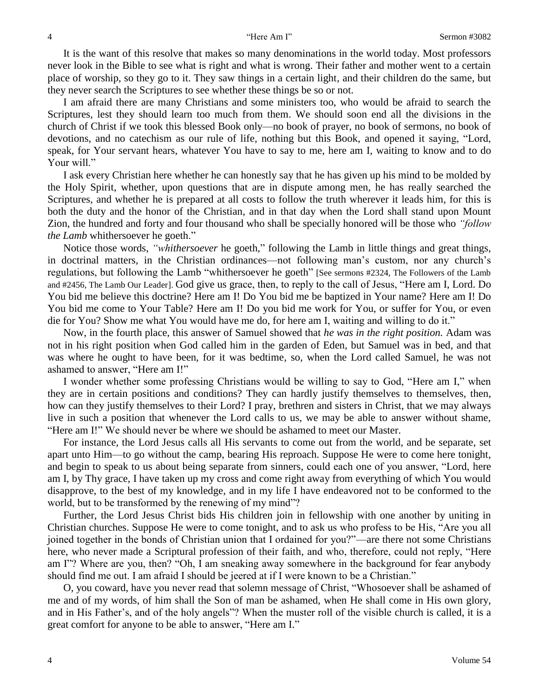It is the want of this resolve that makes so many denominations in the world today. Most professors never look in the Bible to see what is right and what is wrong. Their father and mother went to a certain place of worship, so they go to it. They saw things in a certain light, and their children do the same, but they never search the Scriptures to see whether these things be so or not.

I am afraid there are many Christians and some ministers too, who would be afraid to search the Scriptures, lest they should learn too much from them. We should soon end all the divisions in the church of Christ if we took this blessed Book only—no book of prayer, no book of sermons, no book of devotions, and no catechism as our rule of life, nothing but this Book, and opened it saying, "Lord, speak, for Your servant hears, whatever You have to say to me, here am I, waiting to know and to do Your will."

I ask every Christian here whether he can honestly say that he has given up his mind to be molded by the Holy Spirit, whether, upon questions that are in dispute among men, he has really searched the Scriptures, and whether he is prepared at all costs to follow the truth wherever it leads him, for this is both the duty and the honor of the Christian, and in that day when the Lord shall stand upon Mount Zion, the hundred and forty and four thousand who shall be specially honored will be those who *"follow the Lamb* whithersoever he goeth."

Notice those words, *"whithersoever* he goeth," following the Lamb in little things and great things, in doctrinal matters, in the Christian ordinances—not following man's custom, nor any church's regulations, but following the Lamb "whithersoever he goeth" [See sermons #2324, The Followers of the Lamb and #2456, The Lamb Our Leader]. God give us grace, then, to reply to the call of Jesus, "Here am I, Lord. Do You bid me believe this doctrine? Here am I! Do You bid me be baptized in Your name? Here am I! Do You bid me come to Your Table? Here am I! Do you bid me work for You, or suffer for You, or even die for You? Show me what You would have me do, for here am I, waiting and willing to do it."

Now, in the fourth place, this answer of Samuel showed that *he was in the right position.* Adam was not in his right position when God called him in the garden of Eden, but Samuel was in bed, and that was where he ought to have been, for it was bedtime, so, when the Lord called Samuel, he was not ashamed to answer, "Here am I!"

I wonder whether some professing Christians would be willing to say to God, "Here am I," when they are in certain positions and conditions? They can hardly justify themselves to themselves, then, how can they justify themselves to their Lord? I pray, brethren and sisters in Christ, that we may always live in such a position that whenever the Lord calls to us, we may be able to answer without shame, "Here am I!" We should never be where we should be ashamed to meet our Master.

For instance, the Lord Jesus calls all His servants to come out from the world, and be separate, set apart unto Him—to go without the camp, bearing His reproach. Suppose He were to come here tonight, and begin to speak to us about being separate from sinners, could each one of you answer, "Lord, here am I, by Thy grace, I have taken up my cross and come right away from everything of which You would disapprove, to the best of my knowledge, and in my life I have endeavored not to be conformed to the world, but to be transformed by the renewing of my mind"?

Further, the Lord Jesus Christ bids His children join in fellowship with one another by uniting in Christian churches. Suppose He were to come tonight, and to ask us who profess to be His, "Are you all joined together in the bonds of Christian union that I ordained for you?"—are there not some Christians here, who never made a Scriptural profession of their faith, and who, therefore, could not reply, "Here am I"? Where are you, then? "Oh, I am sneaking away somewhere in the background for fear anybody should find me out. I am afraid I should be jeered at if I were known to be a Christian."

O, you coward, have you never read that solemn message of Christ, "Whosoever shall be ashamed of me and of my words, of him shall the Son of man be ashamed, when He shall come in His own glory, and in His Father's, and of the holy angels"? When the muster roll of the visible church is called, it is a great comfort for anyone to be able to answer, "Here am I."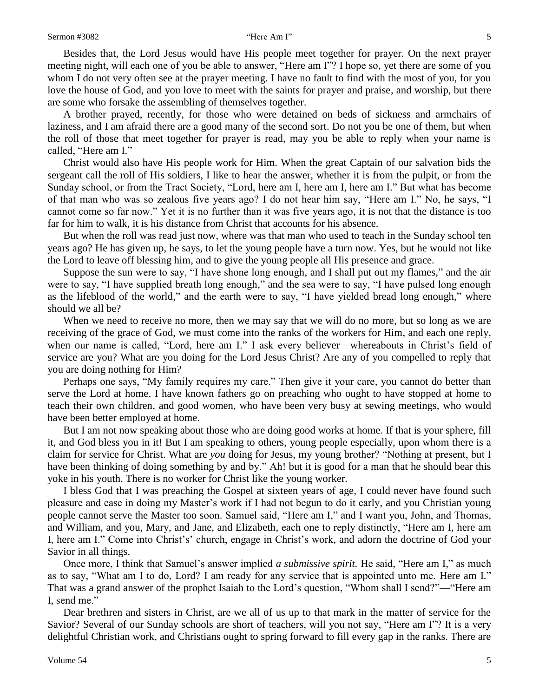Besides that, the Lord Jesus would have His people meet together for prayer. On the next prayer meeting night, will each one of you be able to answer, "Here am I"? I hope so, yet there are some of you whom I do not very often see at the prayer meeting. I have no fault to find with the most of you, for you love the house of God, and you love to meet with the saints for prayer and praise, and worship, but there are some who forsake the assembling of themselves together.

A brother prayed, recently, for those who were detained on beds of sickness and armchairs of laziness, and I am afraid there are a good many of the second sort. Do not you be one of them, but when the roll of those that meet together for prayer is read, may you be able to reply when your name is called, "Here am I."

Christ would also have His people work for Him. When the great Captain of our salvation bids the sergeant call the roll of His soldiers, I like to hear the answer, whether it is from the pulpit, or from the Sunday school, or from the Tract Society, "Lord, here am I, here am I, here am I." But what has become of that man who was so zealous five years ago? I do not hear him say, "Here am I." No, he says, "I cannot come so far now." Yet it is no further than it was five years ago, it is not that the distance is too far for him to walk, it is his distance from Christ that accounts for his absence.

But when the roll was read just now, where was that man who used to teach in the Sunday school ten years ago? He has given up, he says, to let the young people have a turn now. Yes, but he would not like the Lord to leave off blessing him, and to give the young people all His presence and grace.

Suppose the sun were to say, "I have shone long enough, and I shall put out my flames," and the air were to say, "I have supplied breath long enough," and the sea were to say, "I have pulsed long enough as the lifeblood of the world," and the earth were to say, "I have yielded bread long enough," where should we all be?

When we need to receive no more, then we may say that we will do no more, but so long as we are receiving of the grace of God, we must come into the ranks of the workers for Him, and each one reply, when our name is called, "Lord, here am I." I ask every believer—whereabouts in Christ's field of service are you? What are you doing for the Lord Jesus Christ? Are any of you compelled to reply that you are doing nothing for Him?

Perhaps one says, "My family requires my care." Then give it your care, you cannot do better than serve the Lord at home. I have known fathers go on preaching who ought to have stopped at home to teach their own children, and good women, who have been very busy at sewing meetings, who would have been better employed at home.

But I am not now speaking about those who are doing good works at home. If that is your sphere, fill it, and God bless you in it! But I am speaking to others, young people especially, upon whom there is a claim for service for Christ. What are *you* doing for Jesus, my young brother? "Nothing at present, but I have been thinking of doing something by and by." Ah! but it is good for a man that he should bear this yoke in his youth. There is no worker for Christ like the young worker.

I bless God that I was preaching the Gospel at sixteen years of age, I could never have found such pleasure and ease in doing my Master's work if I had not begun to do it early, and you Christian young people cannot serve the Master too soon. Samuel said, "Here am I," and I want you, John, and Thomas, and William, and you, Mary, and Jane, and Elizabeth, each one to reply distinctly, "Here am I, here am I, here am I." Come into Christ's' church, engage in Christ's work, and adorn the doctrine of God your Savior in all things.

Once more, I think that Samuel's answer implied *a submissive spirit.* He said, "Here am I," as much as to say, "What am I to do, Lord? I am ready for any service that is appointed unto me. Here am I." That was a grand answer of the prophet Isaiah to the Lord's question, "Whom shall I send?"—"Here am I, send me."

Dear brethren and sisters in Christ, are we all of us up to that mark in the matter of service for the Savior? Several of our Sunday schools are short of teachers, will you not say, "Here am I"? It is a very delightful Christian work, and Christians ought to spring forward to fill every gap in the ranks. There are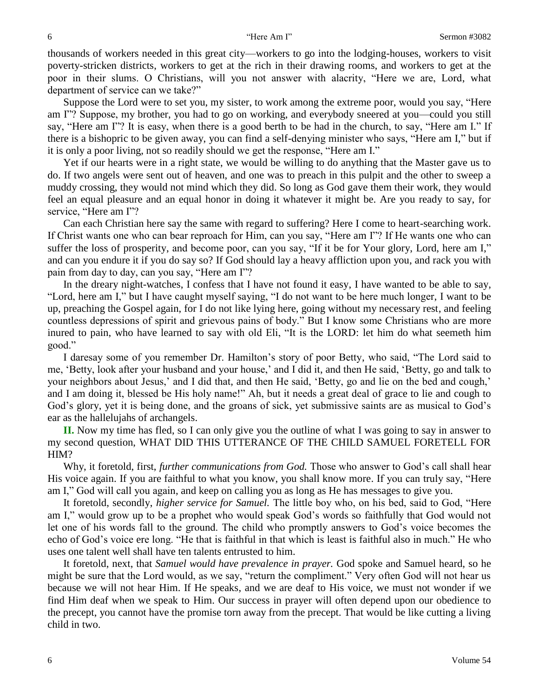thousands of workers needed in this great city—workers to go into the lodging-houses, workers to visit poverty-stricken districts, workers to get at the rich in their drawing rooms, and workers to get at the poor in their slums. O Christians, will you not answer with alacrity, "Here we are, Lord, what department of service can we take?"

Suppose the Lord were to set you, my sister, to work among the extreme poor, would you say, "Here am I"? Suppose, my brother, you had to go on working, and everybody sneered at you—could you still say, "Here am I"? It is easy, when there is a good berth to be had in the church, to say, "Here am I." If there is a bishopric to be given away, you can find a self-denying minister who says, "Here am I," but if it is only a poor living, not so readily should we get the response, "Here am I."

Yet if our hearts were in a right state, we would be willing to do anything that the Master gave us to do. If two angels were sent out of heaven, and one was to preach in this pulpit and the other to sweep a muddy crossing, they would not mind which they did. So long as God gave them their work, they would feel an equal pleasure and an equal honor in doing it whatever it might be. Are you ready to say, for service, "Here am I"?

Can each Christian here say the same with regard to suffering? Here I come to heart-searching work. If Christ wants one who can bear reproach for Him, can you say, "Here am I"? If He wants one who can suffer the loss of prosperity, and become poor, can you say, "If it be for Your glory, Lord, here am I," and can you endure it if you do say so? If God should lay a heavy affliction upon you, and rack you with pain from day to day, can you say, "Here am I"?

In the dreary night-watches, I confess that I have not found it easy, I have wanted to be able to say, "Lord, here am I," but I have caught myself saying, "I do not want to be here much longer, I want to be up, preaching the Gospel again, for I do not like lying here, going without my necessary rest, and feeling countless depressions of spirit and grievous pains of body." But I know some Christians who are more inured to pain, who have learned to say with old Eli, "It is the LORD: let him do what seemeth him good."

I daresay some of you remember Dr. Hamilton's story of poor Betty, who said, "The Lord said to me, 'Betty, look after your husband and your house,' and I did it, and then He said, 'Betty, go and talk to your neighbors about Jesus,' and I did that, and then He said, 'Betty, go and lie on the bed and cough,' and I am doing it, blessed be His holy name!" Ah, but it needs a great deal of grace to lie and cough to God's glory, yet it is being done, and the groans of sick, yet submissive saints are as musical to God's ear as the hallelujahs of archangels.

**II.** Now my time has fled, so I can only give you the outline of what I was going to say in answer to my second question, WHAT DID THIS UTTERANCE OF THE CHILD SAMUEL FORETELL FOR HIM?

Why, it foretold, first, *further communications from God.* Those who answer to God's call shall hear His voice again. If you are faithful to what you know, you shall know more. If you can truly say, "Here am I," God will call you again, and keep on calling you as long as He has messages to give you.

It foretold, secondly, *higher service for Samuel.* The little boy who, on his bed, said to God, "Here am I," would grow up to be a prophet who would speak God's words so faithfully that God would not let one of his words fall to the ground. The child who promptly answers to God's voice becomes the echo of God's voice ere long. "He that is faithful in that which is least is faithful also in much." He who uses one talent well shall have ten talents entrusted to him.

It foretold, next, that *Samuel would have prevalence in prayer.* God spoke and Samuel heard, so he might be sure that the Lord would, as we say, "return the compliment." Very often God will not hear us because we will not hear Him. If He speaks, and we are deaf to His voice, we must not wonder if we find Him deaf when we speak to Him. Our success in prayer will often depend upon our obedience to the precept, you cannot have the promise torn away from the precept. That would be like cutting a living child in two.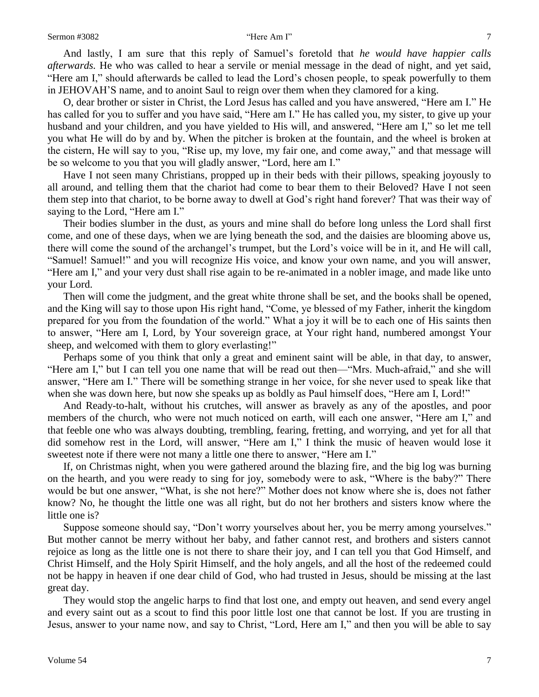And lastly, I am sure that this reply of Samuel's foretold that *he would have happier calls afterwards.* He who was called to hear a servile or menial message in the dead of night, and yet said, "Here am I," should afterwards be called to lead the Lord's chosen people, to speak powerfully to them in JEHOVAH'S name, and to anoint Saul to reign over them when they clamored for a king.

O, dear brother or sister in Christ, the Lord Jesus has called and you have answered, "Here am I." He has called for you to suffer and you have said, "Here am I." He has called you, my sister, to give up your husband and your children, and you have yielded to His will, and answered, "Here am I," so let me tell you what He will do by and by. When the pitcher is broken at the fountain, and the wheel is broken at the cistern, He will say to you, "Rise up, my love, my fair one, and come away," and that message will be so welcome to you that you will gladly answer, "Lord, here am I."

Have I not seen many Christians, propped up in their beds with their pillows, speaking joyously to all around, and telling them that the chariot had come to bear them to their Beloved? Have I not seen them step into that chariot, to be borne away to dwell at God's right hand forever? That was their way of saying to the Lord, "Here am I."

Their bodies slumber in the dust, as yours and mine shall do before long unless the Lord shall first come, and one of these days, when we are lying beneath the sod, and the daisies are blooming above us, there will come the sound of the archangel's trumpet, but the Lord's voice will be in it, and He will call, "Samuel! Samuel!" and you will recognize His voice, and know your own name, and you will answer, "Here am I," and your very dust shall rise again to be re-animated in a nobler image, and made like unto your Lord.

Then will come the judgment, and the great white throne shall be set, and the books shall be opened, and the King will say to those upon His right hand, "Come, ye blessed of my Father, inherit the kingdom prepared for you from the foundation of the world." What a joy it will be to each one of His saints then to answer, "Here am I, Lord, by Your sovereign grace, at Your right hand, numbered amongst Your sheep, and welcomed with them to glory everlasting!"

Perhaps some of you think that only a great and eminent saint will be able, in that day, to answer, "Here am I," but I can tell you one name that will be read out then—"Mrs. Much-afraid," and she will answer, "Here am I." There will be something strange in her voice, for she never used to speak like that when she was down here, but now she speaks up as boldly as Paul himself does, "Here am I, Lord!"

And Ready-to-halt, without his crutches, will answer as bravely as any of the apostles, and poor members of the church, who were not much noticed on earth, will each one answer, "Here am I," and that feeble one who was always doubting, trembling, fearing, fretting, and worrying, and yet for all that did somehow rest in the Lord, will answer, "Here am I," I think the music of heaven would lose it sweetest note if there were not many a little one there to answer, "Here am I."

If, on Christmas night, when you were gathered around the blazing fire, and the big log was burning on the hearth, and you were ready to sing for joy, somebody were to ask, "Where is the baby?" There would be but one answer, "What, is she not here?" Mother does not know where she is, does not father know? No, he thought the little one was all right, but do not her brothers and sisters know where the little one is?

Suppose someone should say, "Don't worry yourselves about her, you be merry among yourselves." But mother cannot be merry without her baby, and father cannot rest, and brothers and sisters cannot rejoice as long as the little one is not there to share their joy, and I can tell you that God Himself, and Christ Himself, and the Holy Spirit Himself, and the holy angels, and all the host of the redeemed could not be happy in heaven if one dear child of God, who had trusted in Jesus, should be missing at the last great day.

They would stop the angelic harps to find that lost one, and empty out heaven, and send every angel and every saint out as a scout to find this poor little lost one that cannot be lost. If you are trusting in Jesus, answer to your name now, and say to Christ, "Lord, Here am I," and then you will be able to say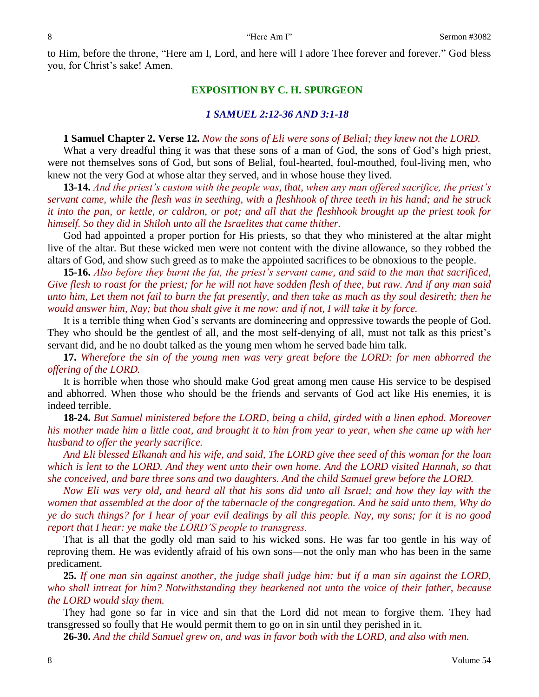to Him, before the throne, "Here am I, Lord, and here will I adore Thee forever and forever." God bless you, for Christ's sake! Amen.

### **EXPOSITION BY C. H. SPURGEON**

### *1 SAMUEL 2:12-36 AND 3:1-18*

### **1 Samuel Chapter 2. Verse 12.** *Now the sons of Eli were sons of Belial; they knew not the LORD.*

What a very dreadful thing it was that these sons of a man of God, the sons of God's high priest, were not themselves sons of God, but sons of Belial, foul-hearted, foul-mouthed, foul-living men, who knew not the very God at whose altar they served, and in whose house they lived.

**13-14.** *And the priest's custom with the people was, that, when any man offered sacrifice, the priest's servant came, while the flesh was in seething, with a fleshhook of three teeth in his hand; and he struck it into the pan, or kettle, or caldron, or pot; and all that the fleshhook brought up the priest took for himself. So they did in Shiloh unto all the Israelites that came thither.*

God had appointed a proper portion for His priests, so that they who ministered at the altar might live of the altar. But these wicked men were not content with the divine allowance, so they robbed the altars of God, and show such greed as to make the appointed sacrifices to be obnoxious to the people.

**15-16.** *Also before they burnt the fat, the priest's servant came, and said to the man that sacrificed, Give flesh to roast for the priest; for he will not have sodden flesh of thee, but raw. And if any man said unto him, Let them not fail to burn the fat presently, and then take as much as thy soul desireth; then he would answer him, Nay; but thou shalt give it me now: and if not, I will take it by force.*

It is a terrible thing when God's servants are domineering and oppressive towards the people of God. They who should be the gentlest of all, and the most self-denying of all, must not talk as this priest's servant did, and he no doubt talked as the young men whom he served bade him talk.

**17.** *Wherefore the sin of the young men was very great before the LORD: for men abhorred the offering of the LORD.*

It is horrible when those who should make God great among men cause His service to be despised and abhorred. When those who should be the friends and servants of God act like His enemies, it is indeed terrible.

**18-24.** *But Samuel ministered before the LORD, being a child, girded with a linen ephod. Moreover his mother made him a little coat, and brought it to him from year to year, when she came up with her husband to offer the yearly sacrifice.* 

*And Eli blessed Elkanah and his wife, and said, The LORD give thee seed of this woman for the loan which is lent to the LORD. And they went unto their own home. And the LORD visited Hannah, so that she conceived, and bare three sons and two daughters. And the child Samuel grew before the LORD.* 

*Now Eli was very old, and heard all that his sons did unto all Israel; and how they lay with the women that assembled at the door of the tabernacle of the congregation. And he said unto them, Why do ye do such things? for I hear of your evil dealings by all this people. Nay, my sons; for it is no good report that I hear: ye make the LORD'S people to transgress.*

That is all that the godly old man said to his wicked sons. He was far too gentle in his way of reproving them. He was evidently afraid of his own sons—not the only man who has been in the same predicament.

**25.** *If one man sin against another, the judge shall judge him: but if a man sin against the LORD, who shall intreat for him? Notwithstanding they hearkened not unto the voice of their father, because the LORD would slay them.*

They had gone so far in vice and sin that the Lord did not mean to forgive them. They had transgressed so foully that He would permit them to go on in sin until they perished in it.

**26-30.** *And the child Samuel grew on, and was in favor both with the LORD, and also with men.*